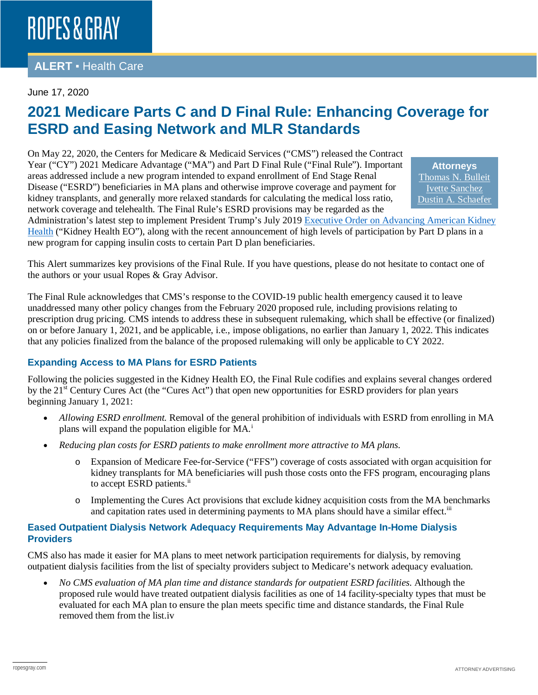### **ALERT** ▪ Health Care

#### June 17, 2020

## **2021 Medicare Parts C and D Final Rule: Enhancing Coverage for ESRD and Easing Network and MLR Standards**

On May 22, 2020, the Centers for Medicare & Medicaid Services ("CMS") released the Contract Year ("CY") 2021 Medicare Advantage ("MA") and Part D Final Rule ("Final Rule"). Important areas addressed include a new program intended to expand enrollment of End Stage Renal Disease ("ESRD") beneficiaries in MA plans and otherwise improve coverage and payment for kidney transplants, and generally more relaxed standards for calculating the medical loss ratio, network coverage and telehealth. The Final Rule's ESRD provisions may be regarded as the

**Attorneys** [Thomas N. Bulleit](https://www.ropesgray.com/en/biographies/b/Thomas-Bulleit) [Ivette Sanchez](https://www.ropesgray.com/en/biographies/s/ivette-sanchez) [Dustin A. Schaefer](https://www.ropesgray.com/en/biographies/s/dustin-schaefer)

Administration's latest step to implement President Trump's July 2019 [Executive Order on Advancing American Kidney](https://www.whitehouse.gov/presidential-actions/executive-order-advancing-american-kidney-health/)  [Health](https://www.whitehouse.gov/presidential-actions/executive-order-advancing-american-kidney-health/) ("Kidney Health EO"), along with the recent announcement of high levels of participation by Part D plans in a new program for capping insulin costs to certain Part D plan beneficiaries.

This Alert summarizes key provisions of the Final Rule. If you have questions, please do not hesitate to contact one of the authors or your usual Ropes & Gray Advisor.

The Final Rule acknowledges that CMS's response to the COVID-19 public health emergency caused it to leave unaddressed many other policy changes from the February 2020 proposed rule, including provisions relating to prescription drug pricing. CMS intends to address these in subsequent rulemaking, which shall be effective (or finalized) on or before January 1, 2021, and be applicable, i.e., impose obligations, no earlier than January 1, 2022. This indicates that any policies finalized from the balance of the proposed rulemaking will only be applicable to CY 2022.

#### **Expanding Access to MA Plans for ESRD Patients**

Following the policies suggested in the Kidney Health EO, the Final Rule codifies and explains several changes ordered by the 21<sup>st</sup> Century Cures Act (the "Cures Act") that open new opportunities for ESRD providers for plan years beginning January 1, 2021:

- *Allowing ESRD enrollment.* Removal of the general prohibition of individuals with ESRD from enrolling in MA plans w[i](#page-1-0)ll expand the population eligible for MA.<sup>i</sup>
- *Reducing plan costs for ESRD patients to make enrollment more attractive to MA plans.*
	- o Expansion of Medicare Fee-for-Service ("FFS") coverage of costs associated with organ acquisition for kidney transplants for MA beneficiaries will push those costs onto the FFS program, encouraging plans to accept ESRD patients.<sup>ii</sup>
	- o Implementing the Cures Act provisions that exclude kidney acquisition costs from the MA benchmarks and capitation rates used in determining payments to MA plans should have a similar effect.<sup>iii</sup>

#### **Eased Outpatient Dialysis Network Adequacy Requirements May Advantage In-Home Dialysis Providers**

CMS also has made it easier for MA plans to meet network participation requirements for dialysis, by removing outpatient dialysis facilities from the list of specialty providers subject to Medicare's network adequacy evaluation.

• *No CMS evaluation of MA plan time and distance standards for outpatient ESRD facilities.* Although the proposed rule would have treated outpatient dialysis facilities as one of 14 facility-specialty types that must be evaluated for each MA plan to ensure the plan meets specific time and distance standards, the Final Rule removed them from the list.iv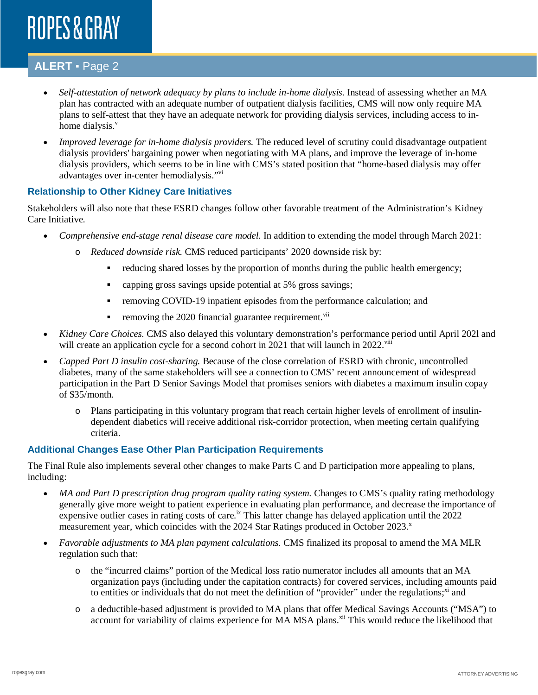### **ALERT** ▪ Page 2

- *Self-attestation of network adequacy by plans to include in-home dialysis.* Instead of assessing whether an MA plan has contracted with an adequate number of outpatient dialysis facilities, CMS will now only require MA plans to self-attest that they have an adequate network for providing dialysis services, including access to inhome dialysis.<sup>v</sup>
- *Improved leverage for in-home dialysis providers.* The reduced level of scrutiny could disadvantage outpatient dialysis providers' bargaining power when negotiating with MA plans, and improve the leverage of in-home dialysis providers, which seems to be in line with CMS's stated position that "home-based dialysis may offer advantages over in-center hemodialysis."vi

#### **Relationship to Other Kidney Care Initiatives**

Stakeholders will also note that these ESRD changes follow other favorable treatment of the Administration's Kidney Care Initiative.

- *Comprehensive end-stage renal disease care model.* In addition to extending the model through March 2021:
	- o *Reduced downside risk.* CMS reduced participants' 2020 downside risk by:
		- reducing shared losses by the proportion of months during the public health emergency;
		- capping gross savings upside potential at 5% gross savings;
		- removing COVID-19 inpatient episodes from the performance calculation; and
		- removing the 2020 financial guarantee requirement.<sup>vii</sup>
- *Kidney Care Choices.* CMS also delayed this voluntary demonstration's performance period until April 202l and will create an application cycle for a second cohort in 2021 that will launch in 2022. $v^{iii}$
- *Capped Part D insulin cost-sharing.* Because of the close correlation of ESRD with chronic, uncontrolled diabetes, many of the same stakeholders will see a connection to CMS' recent announcement of widespread participation in the Part D Senior Savings Model that promises seniors with diabetes a maximum insulin copay of \$35/month.
	- o Plans participating in this voluntary program that reach certain higher levels of enrollment of insulindependent diabetics will receive additional risk-corridor protection, when meeting certain qualifying criteria.

#### **Additional Changes Ease Other Plan Participation Requirements**

The Final Rule also implements several other changes to make Parts C and D participation more appealing to plans, including:

- *MA and Part D prescription drug program quality rating system.* Changes to CMS's quality rating methodology generally give more weight to patient experience in evaluating plan performance, and decrease the importance of expensive outlier cases in rating costs of care.<sup>ix</sup> This latter change has delayed application until the 2022 measurement year, which coincides with the 2024 Star Ratings produced in October 2023.<sup>x</sup>
- <span id="page-1-0"></span>• *Favorable adjustments to MA plan payment calculations.* CMS finalized its proposal to amend the MA MLR regulation such that:
	- o the "incurred claims" portion of the Medical loss ratio numerator includes all amounts that an MA organization pays (including under the capitation contracts) for covered services, including amounts paid to entities or individuals that do not meet the definition of "provider" under the regulations; $x_i$  and
	- o a deductible-based adjustment is provided to MA plans that offer Medical Savings Accounts ("MSA") to account for variability of claims experience for MA MSA plans.<sup>xii</sup> This would reduce the likelihood that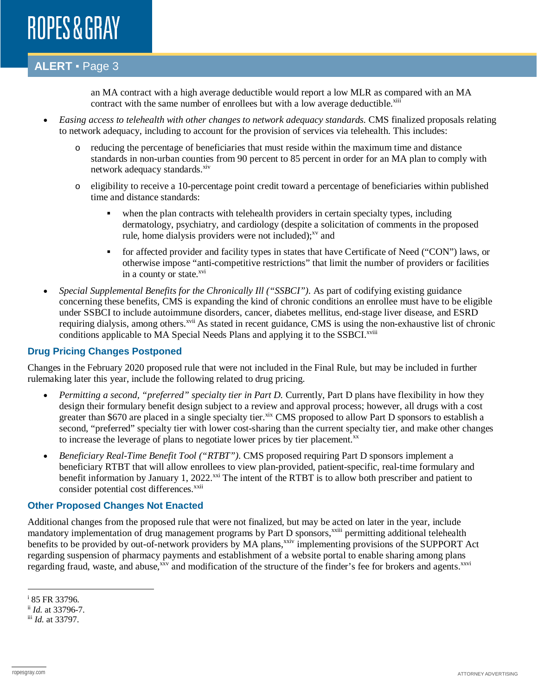### **ALERT** ▪ Page 3

an MA contract with a high average deductible would report a low MLR as compared with an MA contract with the same number of enrollees but with a low average deductible. $\frac{x}{10}$ 

- *Easing access to telehealth with other changes to network adequacy standards.* CMS finalized proposals relating to network adequacy, including to account for the provision of services via telehealth. This includes:
	- o reducing the percentage of beneficiaries that must reside within the maximum time and distance standards in non-urban counties from 90 percent to 85 percent in order for an MA plan to comply with network adequacy standards.<sup>xiv</sup>
	- o eligibility to receive a 10-percentage point credit toward a percentage of beneficiaries within published time and distance standards:
		- when the plan contracts with telehealth providers in certain specialty types, including dermatology, psychiatry, and cardiology (despite a solicitation of comments in the proposed rule, home dialysis providers were not included); $^{xy}$  and
		- for affected provider and facility types in states that have Certificate of Need ("CON") laws, or otherwise impose "anti-competitive restrictions" that limit the number of providers or facilities in a county or state. $^{xvi}$
- *Special Supplemental Benefits for the Chronically Ill ("SSBCI").* As part of codifying existing guidance concerning these benefits, CMS is expanding the kind of chronic conditions an enrollee must have to be eligible under SSBCI to include autoimmune disorders, cancer, diabetes mellitus, end-stage liver disease, and ESRD requiring dialysis, among others.<sup>xvii</sup> As stated in recent guidance, CMS is using the non-exhaustive list of chronic conditions applicable to MA Special Needs Plans and applying it to the SSBCI.<sup>xviii</sup>

#### **Drug Pricing Changes Postponed**

Changes in the February 2020 proposed rule that were not included in the Final Rule, but may be included in further rulemaking later this year, include the following related to drug pricing.

- *Permitting a second, "preferred" specialty tier in Part D.* Currently, Part D plans have flexibility in how they design their formulary benefit design subject to a review and approval process; however, all drugs with a cost greater than \$670 are placed in a single specialty tier.<sup>xix</sup> CMS proposed to allow Part D sponsors to establish a second, "preferred" specialty tier with lower cost-sharing than the current specialty tier, and make other changes to increase the leverage of plans to negotiate lower prices by tier placement.<sup>xx</sup>
- *Beneficiary Real-Time Benefit Tool ("RTBT").* CMS proposed requiring Part D sponsors implement a beneficiary RTBT that will allow enrollees to view plan-provided, patient-specific, real-time formulary and benefit information by January 1, 2022.<sup>xxi</sup> The intent of the RTBT is to allow both prescriber and patient to consider potential cost differences.<sup>xxii</sup>

#### **Other Proposed Changes Not Enacted**

Additional changes from the proposed rule that were not finalized, but may be acted on later in the year, include mandatory implementation of drug management programs by Part D sponsors,<sup>xxiii</sup> permitting additional telehealth benefits to be provided by out-of-network providers by MA plans,<sup>xxiv</sup> implementing provisions of the SUPPORT Act regarding suspension of pharmacy payments and establishment of a website portal to enable sharing among plans regarding fraud, waste, and abuse,<sup>xxv</sup> and modification of the structure of the finder's fee for brokers and agents.<sup>xxvi</sup>

 $\overline{a}$ 

<sup>i</sup> 85 FR 33796.

ii *Id.* at 33796-7.

iii *Id.* at 33797.